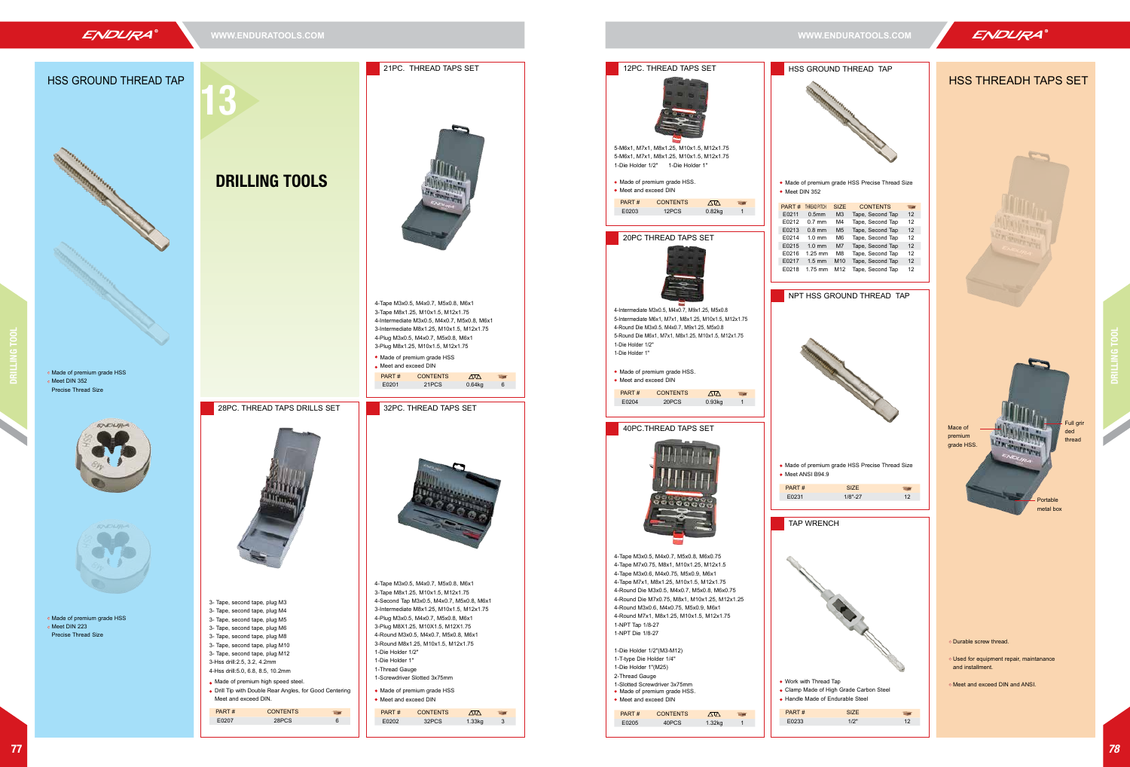ENDURA





Used for equipment repair, maintanance and installment.

Meet and exceed DIN and ANSI.

Mace of premium

grade HSS.

Full grir ded thread

Portable metal box

Durable screw thread.



• Made of premium grade HSS Precise Thread Size • Meet DIN 352  $\sim$  100 **PART # THREAD PITCH SIZE** E0211 0.5mm M3 E0212 0.7 mm M4  $E0213$  0.8 mm M5  $E0214$  1.0 mm M6  $E0215$  1.0 mm M7 E0216 1.25 mm M8 E0217 1.5 mm M10 E0218 1.75 mm M12 NPT HSS GROUND THREAD TAP • Made of premium grade HSS Precise Thread Size • Meet ANSI B94.9 PART # SIZE<br>E0231 1/8"-27 1/8"-27 12 TAP WRENCH

 $\Delta$ 

### HSS GROUND THREAD TAP



| <b>CONTENTS</b>  |    |
|------------------|----|
| Tape, Second Tap | 12 |
| Tape, Second Tap | 12 |
| Tape, Second Tap | 12 |
| Tape, Second Tap | 12 |
| Tape, Second Tap | 12 |
| Tape, Second Tap | 12 |
| Tape, Second Tap | 12 |
| Tape, Second Tap | 12 |
|                  |    |







Work with Thread Tap

- Clamp Made of High Grade Carbon Steel Handle Made of Endurable Steel
- PART # SIZE E0233 1/2" 12

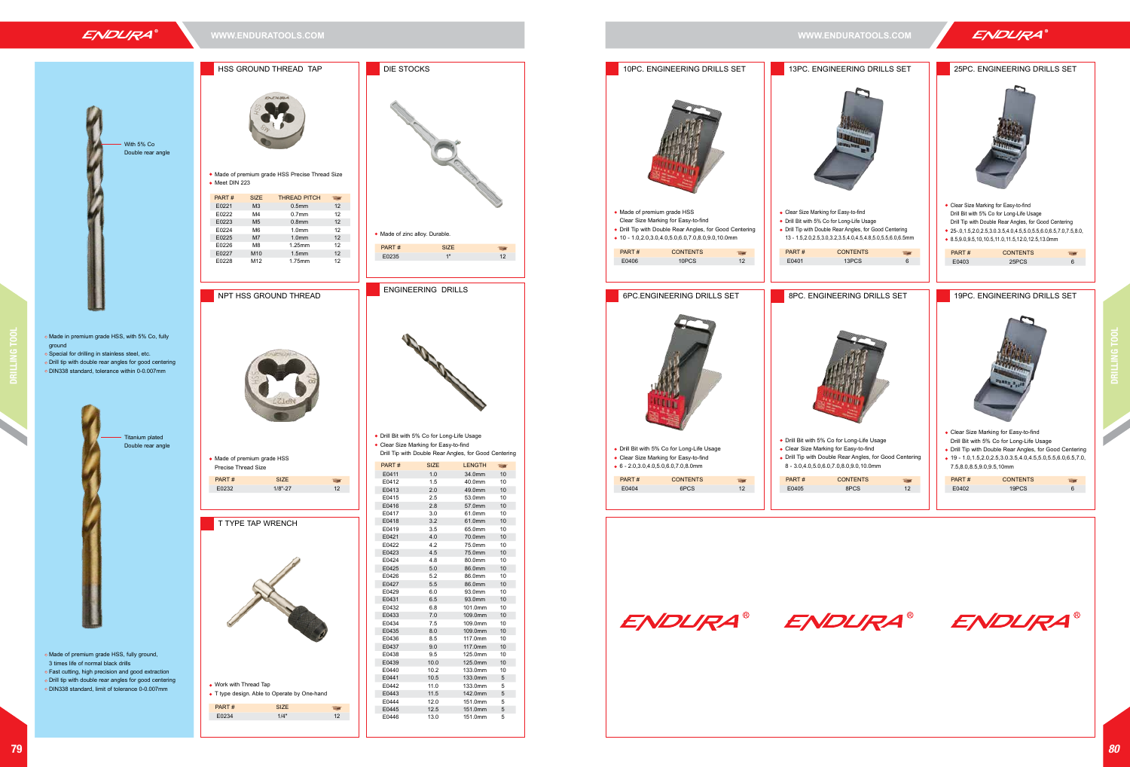# ENDURA

## **WWW.ENDURATOOLS.COM WWW.ENDURATOOLS.COM**



|    | With 5% Co<br>Double rear angle                                                                                                                                                                                                                                | • Made of premium grade HSS Precise Thread Size<br>• Meet DIN 223<br>PART#<br><b>SIZE</b><br><b>THREAD PITCH</b><br>$\frac{1}{2}$<br>M3<br>12<br>E0221<br>0.5 <sub>mm</sub><br>E0222<br>M4<br>0.7 <sub>mm</sub><br>12<br>M <sub>5</sub><br>12<br>E0223<br>0.8 <sub>mm</sub><br>E0224<br>M6<br>1.0 <sub>mm</sub><br>12<br>E0225<br>M7<br>12<br>1.0 <sub>mm</sub><br>E0226<br>M8<br>1.25mm<br>12<br>M10<br>12<br>E0227<br>1.5 <sub>mm</sub><br>E0228<br>M12<br>1.75mm<br>12<br>NPT HSS GROUND THREAD                                  | • Made of zinc alloy. Durable.<br>PART#<br>SIZE<br>$\frac{1}{2} \frac{1}{2} \left( \frac{1}{2} \right)^2$<br>12<br>1"<br>E0235<br><b>ENGINEERING DRILLS</b>                                                                                                                                                                                                                                                                                                                                                                                                                                                                                                                                                                                                                                                                                                                                          | • Made of premium grade HSS<br>Clear Size Marking for Easy-to-find<br>• Drill Tip with Double Rear Angles, for Good Centering<br>$\bullet$ 10 - 1.0,2.0,3.0,4.0,5.0,6.0,7.0,8.0,9.0,10.0mm<br>PART#<br><b>CONTENTS</b><br><b>Tip</b><br>E0406<br>10PCS<br>12<br>6PC.ENGINEERING DRILLS SET | • Clear Size Marking for Easy-to-find<br>• Drill Bit with 5% Co for Long-Life Usage<br>• Drill Tip with Double Rear Angles, for Good Centering<br>13 - 1.5, 2.0, 2.5, 3.0, 3.2, 3.5, 4.0, 4.5, 4.8, 5.0, 5.5, 6.0, 6.5mm<br>PART#<br><b>CONTENTS</b><br>E0401<br>13PCS<br>$6\overline{6}$<br>8PC. ENGINEERING DRILLS SET | • Clear Size Marking for Easy-to-find<br>Drill Bit with 5% Co for Long-Life Usage<br>Drill Tip with Double Rear Angles, for Good Centering<br>$\bullet$ 25-.0, 1.5, 2.0, 2.5, 3.0.3.5, 4.0, 4.5, 5.0, 5.5, 6.0, 6.5, 7.0, 7.5, 8.0,<br>● 8.5,9.0,9.5,10,10.5,11.0,11.5,12.0,12.5,13.0mm<br>PART#<br><b>CONTENTS</b><br><b>THE</b><br>E0403<br>25PCS<br>$6\overline{6}$<br>19PC. ENGINEERING DRILLS SET |          |
|----|----------------------------------------------------------------------------------------------------------------------------------------------------------------------------------------------------------------------------------------------------------------|-------------------------------------------------------------------------------------------------------------------------------------------------------------------------------------------------------------------------------------------------------------------------------------------------------------------------------------------------------------------------------------------------------------------------------------------------------------------------------------------------------------------------------------|------------------------------------------------------------------------------------------------------------------------------------------------------------------------------------------------------------------------------------------------------------------------------------------------------------------------------------------------------------------------------------------------------------------------------------------------------------------------------------------------------------------------------------------------------------------------------------------------------------------------------------------------------------------------------------------------------------------------------------------------------------------------------------------------------------------------------------------------------------------------------------------------------|--------------------------------------------------------------------------------------------------------------------------------------------------------------------------------------------------------------------------------------------------------------------------------------------|--------------------------------------------------------------------------------------------------------------------------------------------------------------------------------------------------------------------------------------------------------------------------------------------------------------------------|--------------------------------------------------------------------------------------------------------------------------------------------------------------------------------------------------------------------------------------------------------------------------------------------------------------------------------------------------------------------------------------------------------|----------|
|    | . Made in premium grade HSS, with 5% Co, fully<br>ground<br>· Special for drilling in stainless steel, etc.<br>. Drill tip with double rear angles for good centering<br>· DIN338 standard, tolerance within 0-0.007mm<br>Titanium plated<br>Double rear angle | • Made of premium grade HSS<br>Precise Thread Size<br>PART#<br>SIZE<br>$\frac{1}{2} \sum_{i=1}^{n} \frac{1}{i} \sum_{j=1}^{n} \frac{1}{j} \sum_{j=1}^{n} \frac{1}{j} \sum_{j=1}^{n} \frac{1}{j} \sum_{j=1}^{n} \frac{1}{j} \sum_{j=1}^{n} \frac{1}{j} \sum_{j=1}^{n} \frac{1}{j} \sum_{j=1}^{n} \frac{1}{j} \sum_{j=1}^{n} \frac{1}{j} \sum_{j=1}^{n} \frac{1}{j} \sum_{j=1}^{n} \frac{1}{j} \sum_{j=1}^{n} \frac{1}{j} \sum_{j=1}^{n$<br>E0232<br>$1/8" - 27$<br>12                                                                | • Drill Bit with 5% Co for Long-Life Usage<br>• Clear Size Marking for Easy-to-find<br>Drill Tip with Double Rear Angles, for Good Centering<br>PART#<br><b>SIZE</b><br><b>LENGTH</b><br><b>Tips</b><br>1.0<br>10<br>E0411<br>34.0mm<br>E0412<br>10<br>1.5<br>40.0mm<br>2.0<br>E0413<br>49.0mm<br>10<br>E0415<br>2.5<br>53.0mm<br>10<br>E0416<br>2.8<br>57.0mm<br>10                                                                                                                                                                                                                                                                                                                                                                                                                                                                                                                                 | • Drill Bit with 5% Co for Long-Life Usage<br>• Clear Size Marking for Easy-to-find<br>$6 - 2.0, 3.0, 4.0, 5.0, 6.0, 7.0, 8.0$ mm<br>PART#<br><b>CONTENTS</b><br><b>THE</b><br>E0404<br>12<br>6PCS                                                                                         | . Drill Bit with 5% Co for Long-Life Usage<br>• Clear Size Marking for Easy-to-find<br>• Drill Tip with Double Rear Angles, for Good Centering<br>8 - 3.0,4.0,5.0,6.0,7.0,8.0,9.0,10.0mm<br>PART#<br><b>CONTENTS</b><br>竜<br>E0405<br>8PCS<br>12                                                                         | • Clear Size Marking for Easy-to-find<br>Drill Bit with 5% Co for Long-Life Usage<br>• Drill Tip with Double Rear Angles, for Good Centering<br>$\bullet$ 19 - 1.0, 1.5, 2.0, 2.5, 3.0. 3.5, 4.0, 4.5, 5.0, 5.5, 6.0, 6.5, 7.0,<br>7.5,8.0,8.5,9.0,9.5,10mm<br>PART#<br><b>CONTENTS</b><br>E0402<br>19PCS<br>$6\overline{6}$                                                                           |          |
|    | · Made of premium grade HSS, fully ground,<br>3 times life of normal black drills<br>• Fast cutting, high precision and good extraction<br>. Drill tip with double rear angles for good centering<br>· DIN338 standard, limit of tolerance 0-0.007mm           | T TYPE TAP WRENCH<br>• Work with Thread Tap<br>• T type design. Able to Operate by One-hand<br>PART#<br>SIZE<br>$\frac{1}{2} \frac{1}{2} \frac{1}{2} \frac{1}{2} \frac{1}{2} \frac{1}{2} \frac{1}{2} \frac{1}{2} \frac{1}{2} \frac{1}{2} \frac{1}{2} \frac{1}{2} \frac{1}{2} \frac{1}{2} \frac{1}{2} \frac{1}{2} \frac{1}{2} \frac{1}{2} \frac{1}{2} \frac{1}{2} \frac{1}{2} \frac{1}{2} \frac{1}{2} \frac{1}{2} \frac{1}{2} \frac{1}{2} \frac{1}{2} \frac{1}{2} \frac{1}{2} \frac{1}{2} \frac{1}{2} \frac{$<br>1/4"<br>12<br>E0234 | E0417<br>3.0<br>61.0mm<br>10<br>E0418<br>3.2<br>61.0mm<br>10<br>E0419<br>3.5<br>65.0mm<br>10<br>4.0<br>E0421<br>70.0mm<br>10<br>E0422<br>4.2<br>10<br>75.0mm<br>4.5<br>E0423<br>75.0mm<br>10<br>E0424<br>4.8<br>80.0mm<br>10<br>E0425<br>5.0<br>86.0mm<br>10<br>E0426<br>5.2<br>10<br>86.0mm<br>E0427<br>5.5<br>86.0mm<br>10<br>E0429<br>6.0<br>10<br>93.0mm<br>6.5<br>E0431<br>93.0mm<br>10<br>E0432<br>6.8<br>10<br>101.0mm<br>7.0<br>E0433<br>109.0mm<br>10<br>E0434<br>7.5<br>109.0mm<br>10<br>8.0<br>E0435<br>10<br>109.0mm<br>E0436<br>8.5<br>117.0mm<br>10<br>E0437<br>9.0<br>117.0mm<br>10<br>E0438<br>9.5<br>125.0mm<br>10<br>10.0<br>E0439<br>125.0mm<br>10<br>E0440<br>10.2<br>133.0mm<br>10<br>10.5<br>E0441<br>133.0mm<br>5<br>E0442<br>11.0<br>133.0mm<br>E0443<br>11.5<br>142.0mm<br>5<br>E0444<br>12.0<br>151.0mm<br>-5<br>12.5<br>E0445<br>151.0mm<br>5<br>E0446<br>13.0<br>151.0mm |                                                                                                                                                                                                                                                                                            | ENDURA <sup>®</sup> ENDURA <sup>®</sup> ENDURA®                                                                                                                                                                                                                                                                          |                                                                                                                                                                                                                                                                                                                                                                                                        |          |
| 79 |                                                                                                                                                                                                                                                                |                                                                                                                                                                                                                                                                                                                                                                                                                                                                                                                                     |                                                                                                                                                                                                                                                                                                                                                                                                                                                                                                                                                                                                                                                                                                                                                                                                                                                                                                      |                                                                                                                                                                                                                                                                                            |                                                                                                                                                                                                                                                                                                                          |                                                                                                                                                                                                                                                                                                                                                                                                        | <b>Q</b> |

| HSS GROUND THREAD TAP                                                                                       |                                                                                                                              | DIE STOCKS                      |                                                                                                                                                       |                           |                  |          | 10PC. ENGINEERING DRILLS SET |                                                                                                                                                                                            |    | 13PC. ENGINEERING DRILLS SET |                                                                                                                                                                                                                          |    |
|-------------------------------------------------------------------------------------------------------------|------------------------------------------------------------------------------------------------------------------------------|---------------------------------|-------------------------------------------------------------------------------------------------------------------------------------------------------|---------------------------|------------------|----------|------------------------------|--------------------------------------------------------------------------------------------------------------------------------------------------------------------------------------------|----|------------------------------|--------------------------------------------------------------------------------------------------------------------------------------------------------------------------------------------------------------------------|----|
|                                                                                                             | Made of premium grade HSS Precise Thread Size                                                                                |                                 |                                                                                                                                                       |                           |                  |          |                              |                                                                                                                                                                                            |    |                              |                                                                                                                                                                                                                          |    |
| Meet DIN 223                                                                                                |                                                                                                                              |                                 |                                                                                                                                                       |                           |                  |          |                              |                                                                                                                                                                                            |    |                              |                                                                                                                                                                                                                          |    |
| PART#<br><b>SIZE</b><br>M3<br>E0221<br>E0222<br>M4<br>E0223<br>M <sub>5</sub><br>E0224<br>M6<br>E0225<br>M7 | <b>THREAD PITCH</b><br>0.5 <sub>mm</sub><br>0.7 <sub>mm</sub><br>0.8 <sub>mm</sub><br>1.0 <sub>mm</sub><br>1.0 <sub>mm</sub> | ÷<br>12<br>12<br>12<br>12<br>12 | . Made of zinc alloy. Durable.                                                                                                                        |                           |                  |          |                              | • Made of premium grade HSS<br>Clear Size Marking for Easy-to-find<br>• Drill Tip with Double Rear Angles, for Good Centering<br>$\bullet$ 10 - 1.0,2.0,3.0,4.0,5.0,6.0,7.0,8.0,9.0,10.0mm |    |                              | • Clear Size Marking for Easy-to-find<br>. Drill Bit with 5% Co for Long-Life Usage<br>• Drill Tip with Double Rear Angles, for Good Centering<br>13 - 1.5, 2.0, 2.5, 3.0, 3.2, 3.5, 4.0, 4.5, 4.8, 5.0, 5.5, 6.0, 6.5mn |    |
| E0226<br>M8<br>E0227<br>M10                                                                                 | 1.25mm<br>1.5mm                                                                                                              | 12<br>12                        | PART#                                                                                                                                                 | <b>SIZE</b>               |                  | ÷        | PART#                        | <b>CONTENTS</b>                                                                                                                                                                            | ÷  | PART#                        | <b>CONTENTS</b>                                                                                                                                                                                                          |    |
| M12<br>E0228                                                                                                | 1.75mm                                                                                                                       | 12                              | E0235                                                                                                                                                 | 1"                        |                  | 12       | E0406                        | 10PCS                                                                                                                                                                                      | 12 | E0401                        | 13PCS                                                                                                                                                                                                                    |    |
|                                                                                                             | NPT HSS GROUND THREAD                                                                                                        |                                 |                                                                                                                                                       | <b>ENGINEERING DRILLS</b> |                  |          |                              | 6PC.ENGINEERING DRILLS SET                                                                                                                                                                 |    |                              | 8PC. ENGINEERING DRILLS SET                                                                                                                                                                                              |    |
|                                                                                                             |                                                                                                                              |                                 |                                                                                                                                                       |                           |                  |          |                              |                                                                                                                                                                                            |    |                              |                                                                                                                                                                                                                          |    |
| Made of premium grade HSS<br>Precise Thread Size                                                            |                                                                                                                              |                                 | • Drill Bit with 5% Co for Long-Life Usage<br>• Clear Size Marking for Easy-to-find<br>Drill Tip with Double Rear Angles, for Good Centering<br>PART# | <b>SIZE</b>               | <b>LENGTH</b>    | ÷        |                              | . Drill Bit with 5% Co for Long-Life Usage<br>• Clear Size Marking for Easy-to-find<br>$\bullet$ 6 - 2.0, 3.0, 4.0, 5.0, 6.0, 7.0, 8.0mm                                                   |    |                              | . Drill Bit with 5% Co for Long-Life Usage<br>• Clear Size Marking for Easy-to-find<br>• Drill Tip with Double Rear Angles, for Good Center<br>8 - 3.0,4.0,5.0,6.0,7.0,8.0,9.0,10.0mm                                    |    |
| PART#                                                                                                       | <b>SIZE</b>                                                                                                                  | ÷                               | E0411<br>E0412                                                                                                                                        | 1.0<br>1.5                | 34.0mm<br>40.0mm | 10<br>10 | PART#                        | <b>CONTENTS</b>                                                                                                                                                                            | ÷  | PART#                        | <b>CONTENTS</b>                                                                                                                                                                                                          |    |
| E0232                                                                                                       | $1/8" - 27$                                                                                                                  | 12                              | E0413                                                                                                                                                 | 2.0                       | 49.0mm           | 10       | E0404                        | 6PCS                                                                                                                                                                                       | 12 | E0405                        | 8PCS                                                                                                                                                                                                                     | 12 |
|                                                                                                             |                                                                                                                              |                                 | E0415                                                                                                                                                 | 2.5                       | 53.0mm           | 10       |                              |                                                                                                                                                                                            |    |                              |                                                                                                                                                                                                                          |    |
|                                                                                                             |                                                                                                                              |                                 | E0416<br>E0417                                                                                                                                        | 2.8<br>3.0                | 57.0mm<br>61.0mm | 10<br>10 |                              |                                                                                                                                                                                            |    |                              |                                                                                                                                                                                                                          |    |
| T TYPE TAP WRENCH                                                                                           |                                                                                                                              |                                 | E0418                                                                                                                                                 | 3.2                       | 61.0mm           | 10       |                              |                                                                                                                                                                                            |    |                              |                                                                                                                                                                                                                          |    |
|                                                                                                             |                                                                                                                              |                                 |                                                                                                                                                       |                           |                  |          |                              |                                                                                                                                                                                            |    |                              |                                                                                                                                                                                                                          |    |













| DIE STOCKS                     |             |    |
|--------------------------------|-------------|----|
| . Made of zinc alloy. Durable. |             |    |
| PART#                          | <b>SIZE</b> |    |
| E0235                          | 1"          | 12 |
|                                |             |    |



| PART# | <b>SIZE</b> | <b>LENGTH</b> | <b>The </b> |
|-------|-------------|---------------|-------------|
| E0411 | 1.0         | 34.0mm        | 10          |
| E0412 | 1.5         | 40.0mm        | 10          |
| E0413 | 2.0         | 49.0mm        | 10          |
| E0415 | 2.5         | 53.0mm        | 10          |
| E0416 | 2.8         | 57.0mm        | 10          |
| E0417 | 3.0         | 61.0mm        | 10          |
| E0418 | 3.2         | 61.0mm        | 10          |
| E0419 | 3.5         | 65.0mm        | 10          |
| E0421 | 4.0         | 70.0mm        | 10          |
| E0422 | 4.2         | 75.0mm        | 10          |
| E0423 | 4.5         | 75.0mm        | 10          |
| E0424 | 4.8         | 80.0mm        | 10          |
| E0425 | 5.0         | 86.0mm        | 10          |
| F0426 | 5.2         | 86.0mm        | 10          |
| E0427 | 5.5         | 86.0mm        | 10          |
| F0429 | 6.0         | 93.0mm        | 10          |
| E0431 | 6.5         | 93.0mm        | 10          |
| E0432 | 6.8         | 101.0mm       | 10          |
| E0433 | 7.0         | 109.0mm       | 10          |
| E0434 | 7.5         | 109.0mm       | 10          |
| E0435 | 8.0         | 109.0mm       | 10          |
| E0436 | 8.5         | 117.0mm       | 10          |
| E0437 | 9.0         | 117.0mm       | 10          |
| E0438 | 9.5         | 125.0mm       | 10          |
| E0439 | 10.0        | 125.0mm       | 10          |
| E0440 | 10.2        | 133.0mm       | 10          |
| E0441 | 10.5        | 133.0mm       | 5           |
| F0442 | 11.0        | 133.0mm       | 5           |
| E0443 | 11.5        | 142.0mm       | 5           |
| E0444 | 12.0        | 151.0mm       | 5           |
| E0445 | 12.5        | 151.0mm       | 5           |
| E0446 | 13.0        | 151.0mm       | 5           |